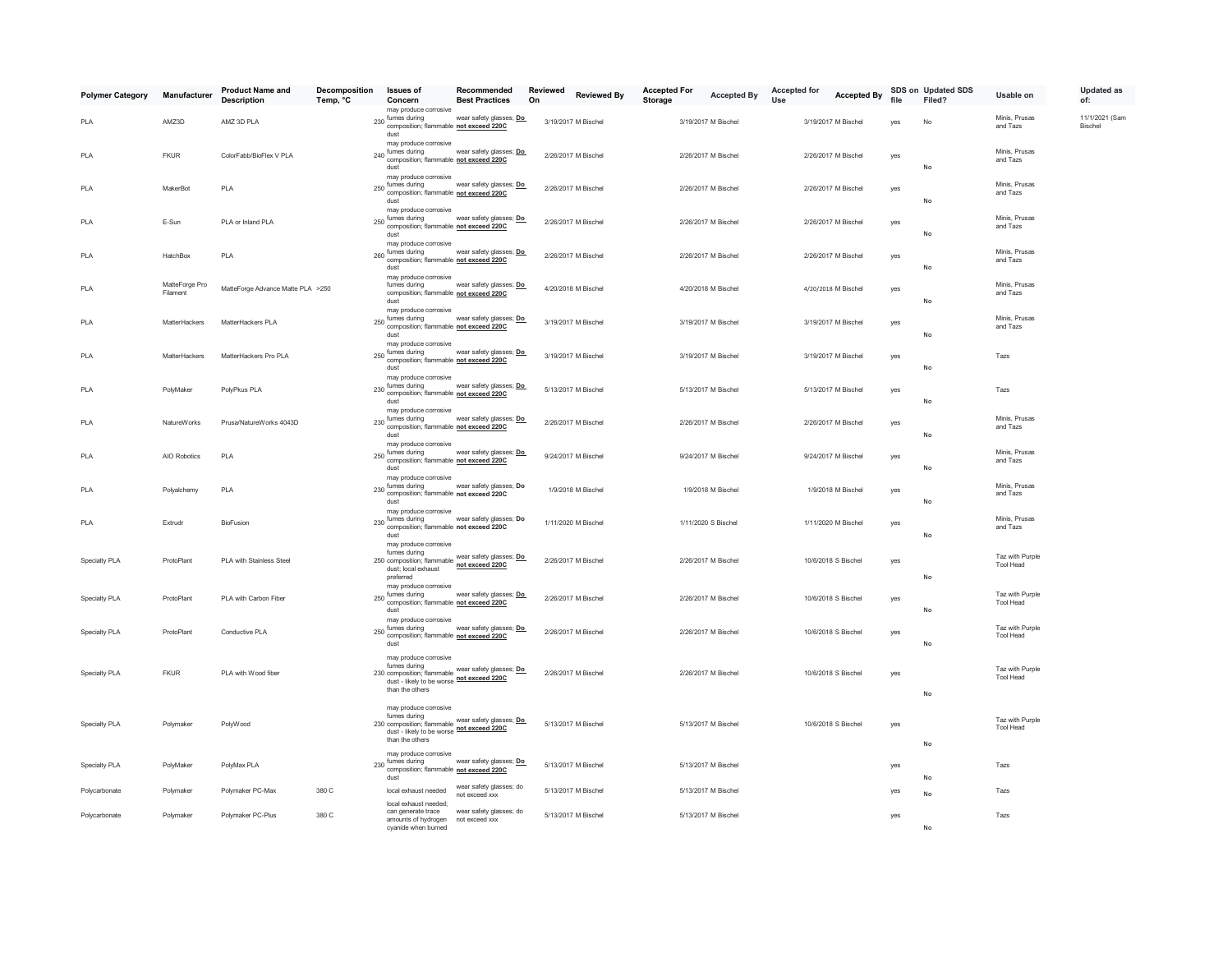| <b>Polymer Category</b> | Manufacturer               | <b>Product Name and</b><br><b>Description</b> | Decomposition<br>Temp, °C | <b>Issues of</b><br>Concern                                                                                                                                                                                                                                                                                                                               | Recommended<br><b>Best Practices</b>      | Reviewed<br>On | <b>Reviewed By</b>  | <b>Accepted For</b><br>Storage | <b>Accepted By</b>  | <b>Accepted for</b><br>Use | <b>Accepted By</b>  | file | SDS on Updated SDS<br>Filed? | Usable on                    | <b>Updated as</b><br>of:         |
|-------------------------|----------------------------|-----------------------------------------------|---------------------------|-----------------------------------------------------------------------------------------------------------------------------------------------------------------------------------------------------------------------------------------------------------------------------------------------------------------------------------------------------------|-------------------------------------------|----------------|---------------------|--------------------------------|---------------------|----------------------------|---------------------|------|------------------------------|------------------------------|----------------------------------|
| PLA                     | AMZ3D                      | AMZ 3D PLA                                    |                           | may produce corrosive<br>230 fumes during<br>composition; flammable not exceed 220C<br>dust                                                                                                                                                                                                                                                               | wear safety glasses; Do                   |                | 3/19/2017 M Bischel |                                | 3/19/2017 M Bischel |                            | 3/19/2017 M Bischel | yes  | No                           | Minis, Prusas<br>and Tazs    | 11/1/2021 (Sam<br><b>Bischel</b> |
| PLA                     | <b>FKUR</b>                | ColorFabb/BioFlex V PLA                       |                           | may produce corrosive<br>240 fumes during wear safety glasses<br>composition; flammable not exceed 220C<br>dust                                                                                                                                                                                                                                           | wear safety glasses; Do                   |                | 2/26/2017 M Bischel |                                | 2/26/2017 M Bischel |                            | 2/26/2017 M Bischel | yes  | No                           | Minis, Prusas<br>and Tazs    |                                  |
| PLA                     | MakerBot                   | PLA                                           |                           | may produce corrosive<br>250 fumes during<br>composition; flammable not exceed 220C<br>dust<br>may produce corrosive                                                                                                                                                                                                                                      | wear safety glasses; Do                   |                | 2/26/2017 M Bischel |                                | 2/26/2017 M Bischel |                            | 2/26/2017 M Bischel | yes  | No                           | Minis, Prusas<br>and Tazs    |                                  |
| PLA                     | E-Sun                      | PLA or Inland PLA                             |                           | 250 fumes during<br>composition; flammable not exceed 220C<br>dust<br>may produce corrosive                                                                                                                                                                                                                                                               | wear safety glasses; Do                   |                | 2/26/2017 M Bischel |                                | 2/26/2017 M Bischel |                            | 2/26/2017 M Bischel | yes  | No                           | Minis, Prusas<br>and Tazs    |                                  |
| PLA                     | HatchBox                   | PLA                                           |                           | 260 fumes during wear safety glasses<br>260 composition; flammable not exceed 220C<br>dust<br>may produce corrosive                                                                                                                                                                                                                                       | wear safety glasses; Do                   |                | 2/26/2017 M Bischel |                                | 2/26/2017 M Bischel |                            | 2/26/2017 M Bischel | yes  | No                           | Minis, Prusas<br>and Tazs    |                                  |
| PLA                     | MatteForge Pro<br>Filament | MatteForge Advance Matte PLA >250             |                           | fumes during<br>composition; flammable not exceed 220C<br>dust<br>may produce corrosive                                                                                                                                                                                                                                                                   | wear safety glasses; Do                   |                | 4/20/2018 M Bischel |                                | 4/20/2018 M Bischel |                            | 4/20/2018 M Bischel | yes  | No                           | Minis, Prusas<br>and Tazs    |                                  |
| PLA                     | MatterHackers              | MatterHackers PLA                             |                           | 250 fumes during<br>composition; flammable not exceed 220C<br>dust                                                                                                                                                                                                                                                                                        | wear safety glasses; Do                   |                | 3/19/2017 M Bischel |                                | 3/19/2017 M Bischel |                            | 3/19/2017 M Bischel | yes  | No                           | Minis, Prusas<br>and Tazs    |                                  |
| PLA                     | MatterHackers              | MatterHackers Pro PLA                         |                           | may produce corrosive<br>250 fumes during<br>composition; flammable not exceed 220C<br>dust                                                                                                                                                                                                                                                               | wear safety glasses; Do                   |                | 3/19/2017 M Bischel |                                | 3/19/2017 M Bischel |                            | 3/19/2017 M Bischel | yes  | No                           | Tazs                         |                                  |
| PLA                     | PolyMaker                  | PolyPkus PLA                                  |                           | may produce corrosive<br>230 fumes during wear safety glasses<br>230 composition; flammable not exceed 220C<br>dust<br>may produce corrosive                                                                                                                                                                                                              | wear safety glasses; Do                   |                | 5/13/2017 M Bischel |                                | 5/13/2017 M Bischel |                            | 5/13/2017 M Bischel | yes  | No                           | Tazs                         |                                  |
| PLA                     | NatureWorks                | Prusa/NatureWorks 4043D                       |                           | 230 fumes during wear safety glasse<br>composition; flammable not exceed 220C<br>dust                                                                                                                                                                                                                                                                     | wear safety glasses; Do                   |                | 2/26/2017 M Bischel |                                | 2/26/2017 M Bischel |                            | 2/26/2017 M Bischel | yes  | No                           | Minis, Prusas<br>and Tazs    |                                  |
| PLA                     | AIO Robotics               | PLA                                           |                           | may produce corrosive<br>250 fumes during<br>composition; flammable not exceed 220C<br>dust                                                                                                                                                                                                                                                               | wear safety glasses; Do                   |                | 9/24/2017 M Bischel |                                | 9/24/2017 M Bischel |                            | 9/24/2017 M Bischel | yes  | No                           | Minis, Prusas<br>and Tazs    |                                  |
| PLA                     | Polyalchemy                | PLA                                           |                           | may produce corrosive<br>fumes during<br>230 composition; flammable not exceed 220C<br>dust                                                                                                                                                                                                                                                               | wear safety glasses; Do                   |                | 1/9/2018 M Bischel  |                                | 1/9/2018 M Bischel  |                            | 1/9/2018 M Bischel  | yes  | No                           | Minis, Prusas<br>and Tazs    |                                  |
| PLA                     | Extrudr                    | BioFusion                                     |                           | may produce corrosive<br>$230$ fumes during<br>composition; flammable not exceed 220C<br>dust                                                                                                                                                                                                                                                             | wear safety glasses; Do                   |                | 1/11/2020 M Bischel |                                | 1/11/2020 S Bischel |                            | 1/11/2020 M Bischel | yes  | No                           | Minis, Prusas<br>and Tazs    |                                  |
| Specialty PLA           | ProtoPlant                 | PLA with Stainless Steel                      |                           | may produce corrosive<br>fumes during<br>250 composition; flammable wear safety glasses; Do<br>dust; local exhaust<br>preferred                                                                                                                                                                                                                           | not exceed 220C                           |                | 2/26/2017 M Bischel |                                | 2/26/2017 M Bischel |                            | 10/6/2018 S Bischel | yes  | No                           | Taz with Purple<br>Tool Head |                                  |
| Specialty PLA           | ProtoPlant                 | PLA with Carbon Fiber                         |                           | may produce corrosive<br>250 fumes during wear safety glasses<br>250 composition; flammable not exceed 220C<br>dust                                                                                                                                                                                                                                       | wear safety glasses; Do                   |                | 2/26/2017 M Bischel |                                | 2/26/2017 M Bischel |                            | 10/6/2018 S Bischel | yes  | No                           | Taz with Purple<br>Tool Head |                                  |
| Specialty PLA           | ProtoPlant                 | Conductive PLA                                |                           | may produce corrosive<br>250 fumes during<br>composition; flammable not exceed 220C<br>dust                                                                                                                                                                                                                                                               | wear safety glasses; Do                   |                | 2/26/2017 M Bischel |                                | 2/26/2017 M Bischel |                            | 10/6/2018 S Bischel | yes  | No                           | Taz with Purple<br>Tool Head |                                  |
| Specialty PLA           | <b>FKUR</b>                | PLA with Wood fiber                           |                           | may produce corrosive<br>fumes during<br>dust - likely to be worse not exceed 220C<br>than the others                                                                                                                                                                                                                                                     |                                           |                | 2/26/2017 M Bischel |                                | 2/26/2017 M Bischel |                            | 10/6/2018 S Bischel | yes  | No                           | Taz with Purple<br>Tool Head |                                  |
| Specialty PLA           | Polymaker                  | PolyWood                                      |                           | may produce corrosive<br>fumes during<br>$\frac{1}{2}$ and $\frac{1}{2}$ and $\frac{1}{2}$ and $\frac{1}{2}$ and $\frac{1}{2}$ and $\frac{1}{2}$ and $\frac{1}{2}$ and $\frac{1}{2}$ and $\frac{1}{2}$ and $\frac{1}{2}$ and $\frac{1}{2}$ and $\frac{1}{2}$ and $\frac{1}{2}$ and $\frac{1}{2}$ and $\frac{1}{2}$ and $\frac{1}{2}$ a<br>than the others |                                           |                | 5/13/2017 M Bischel |                                | 5/13/2017 M Bischel |                            | 10/6/2018 S Bischel | yes  | No                           | Taz with Purple<br>Tool Head |                                  |
| Specialty PLA           | PolyMaker                  | PolyMax PLA                                   |                           | may produce corrosive<br>230 fumes during<br>composition; flammable not exceed 220C<br>dust                                                                                                                                                                                                                                                               | wear safety glasses; Do                   |                | 5/13/2017 M Bischel |                                | 5/13/2017 M Bischel |                            |                     | yes  | No                           | Tazs                         |                                  |
| Polycarbonate           | Polymaker                  | Polymaker PC-Max                              | 380 C                     | local exhaust needed                                                                                                                                                                                                                                                                                                                                      | wear safety glasses; do<br>not exceed xxx |                | 5/13/2017 M Bischel |                                | 5/13/2017 M Bischel |                            |                     | yes  | No                           | Tazs                         |                                  |
| Polycarbonate           | Polymaker                  | Polymaker PC-Plus                             | 380 C                     | local exhaust needed:<br>can generate trace<br>amounts of hydrogen<br>cvanide when burned                                                                                                                                                                                                                                                                 | wear safety glasses; do<br>not exceed xxx |                | 5/13/2017 M Bischel |                                | 5/13/2017 M Bischel |                            |                     | yes  | No                           | Tazs                         |                                  |